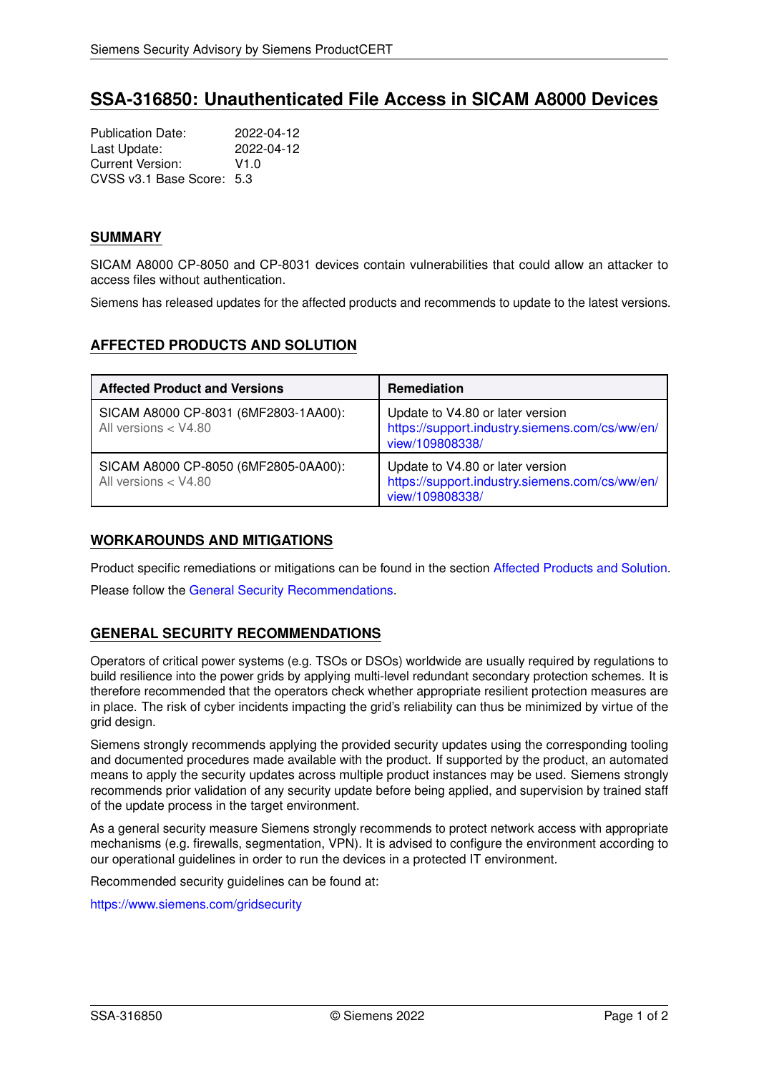# **SSA-316850: Unauthenticated File Access in SICAM A8000 Devices**

Publication Date: 2022-04-12<br>
Last Update: 2022-04-12 Last Update: Current Version: V1.0 CVSS v3.1 Base Score: 5.3

## **SUMMARY**

SICAM A8000 CP-8050 and CP-8031 devices contain vulnerabilities that could allow an attacker to access files without authentication.

<span id="page-0-0"></span>Siemens has released updates for the affected products and recommends to update to the latest versions.

# **AFFECTED PRODUCTS AND SOLUTION**

| <b>Affected Product and Versions</b>                           | <b>Remediation</b>                                                                                    |
|----------------------------------------------------------------|-------------------------------------------------------------------------------------------------------|
| SICAM A8000 CP-8031 (6MF2803-1AA00):<br>All versions < V4.80   | Update to V4.80 or later version<br>https://support.industry.siemens.com/cs/ww/en/<br>view/109808338/ |
| SICAM A8000 CP-8050 (6MF2805-0AA00):<br>All versions $<$ V4.80 | Update to V4.80 or later version<br>https://support.industry.siemens.com/cs/ww/en/<br>view/109808338/ |

# **WORKAROUNDS AND MITIGATIONS**

Product specific remediations or mitigations can be found in the section [Affected Products and Solution.](#page-0-0)

<span id="page-0-1"></span>Please follow the [General Security Recommendations.](#page-0-1)

# **GENERAL SECURITY RECOMMENDATIONS**

Operators of critical power systems (e.g. TSOs or DSOs) worldwide are usually required by regulations to build resilience into the power grids by applying multi-level redundant secondary protection schemes. It is therefore recommended that the operators check whether appropriate resilient protection measures are in place. The risk of cyber incidents impacting the grid's reliability can thus be minimized by virtue of the grid design.

Siemens strongly recommends applying the provided security updates using the corresponding tooling and documented procedures made available with the product. If supported by the product, an automated means to apply the security updates across multiple product instances may be used. Siemens strongly recommends prior validation of any security update before being applied, and supervision by trained staff of the update process in the target environment.

As a general security measure Siemens strongly recommends to protect network access with appropriate mechanisms (e.g. firewalls, segmentation, VPN). It is advised to configure the environment according to our operational guidelines in order to run the devices in a protected IT environment.

Recommended security guidelines can be found at:

<https://www.siemens.com/gridsecurity>